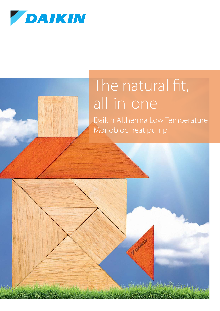

### The natural fit, all-in-one

Voelkin

A Agent Comment Alexander

Daikin Altherma Low Temperature Monobloc heat pump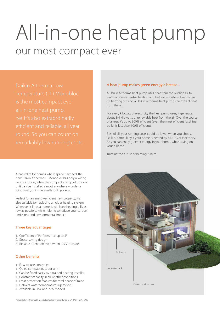# All-in-one heat pump our most compact ever

Daikin Altherma Low

A natural fit for homes where space is limited, the new Daikin Altherma LT Monobloc has only a wiring centre indoors, while the compact and quiet outdoor unit can be installed almost anywhere – under a windowsill, or in the smallest of gardens.

Perfect for an energy-efficient new property, it's also suitable for replacing an older heating system. Wherever it finds a home, it will keep heating bills as low as possible, while helping to reduce your carbon emissions and environmental impact.

#### Three key advantages

- 1. Coefficient of Performance up to 5\*
- 2. Space-saving design
- 3. Reliable operation even when -25°C outside

#### Other benefits

- > Easy-to-use controller
- > Quiet, compact outdoor unit
- > Can be fitted easily by a trained heating installer
- > Constant capacity in all weather conditions
- > Frost protection features for total peace of mind
- > Delivers water temperatures up to 55°C > Available in 5kW and 7kW models

A heat pump makes green energy a breeze...

A Daikin Altherma heat pump uses heat from the outside air to warm a home's central heating and hot water system. Even when it's freezing outside, a Daikin Altherma heat pump can extract heat from the air.

For every kilowatt of electricity the heat pump uses, it generates about 3-4 kilowatts of renewable heat from the air. Over the course of a year, it's up to 300% efficient (even the most efficient fossil fuel boiler is less than 100% efficient).

Best of all, your running costs could be lower when you choose Daikin, particularly if your home is heated by oil, LPG or electricity. So you can enjoy greener energy in your home, while saving on your bills too.

Trust us: the future of heating is here.



\* 5kW Daikin Altherma LT Monobloc tested in accordance to EN 14511 at A7 W35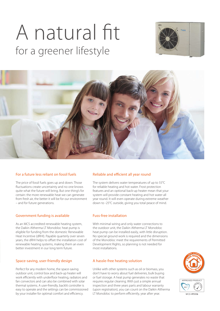# A natural fit for a greener lifestyle





#### For a future less reliant on fossil fuels

The price of fossil fuels goes up and down. Those fluctuations create uncertainty and no one knows quite what the future will bring. But one thing's for certain: the more renewable heat we can generate from fresh air, the better it will be for our environment – and for future generations.

#### Government funding is available

As an MCS accredited renewable heating system, the Daikin Altherma LT Monobloc heat pump is eligible for funding from the domestic Renewable Heat Incentive (dRHI). Payable quarterly over seven years, the dRHI helps to offset the installation cost of renewable heating systems, making them an even better investment in our long term future.

#### Space-saving, user-friendly design

Perfect for any modern home, the space-saving outdoor unit, control box and back-up heater will work efficiently with underfloor heating, radiators and fan convectors and can also be combined with solar thermal systems. A user-friendly, backlit controller is easy to operate and the settings can be commissioned by your installer for optimal comfort and efficiency.

#### Reliable and efficient all year round

The system delivers water temperatures of up to 55°C for reliable heating and hot water. Frost protection features and an optional back-up heater mean that your system will provide constant heating and hot water all year round. It will even operate during extreme weather down to -25°C outside, giving you total peace of mind.

#### Fuss-free installation

With minimal wiring and only water connections to the outdoor unit, the Daikin Altherma LT Monobloc heat pump can be installed easily, with little disruption. No special ground work is required and the dimensions of the Monobloc meet the requirements of Permitted Development Rights, so planning is not needed for most installations.

#### A hassle-free heating solution

Unlike with other systems such as oil or biomass, you don't have to worry about fuel deliveries, bulk buying or fuel storage. A heat pump generates no waste that requires regular cleaning. With just a simple annual inspection and three years parts and labour warranty (upon registration), you can count on the Daikin Altherma LT Monobloc to perform efficiently, year after year.